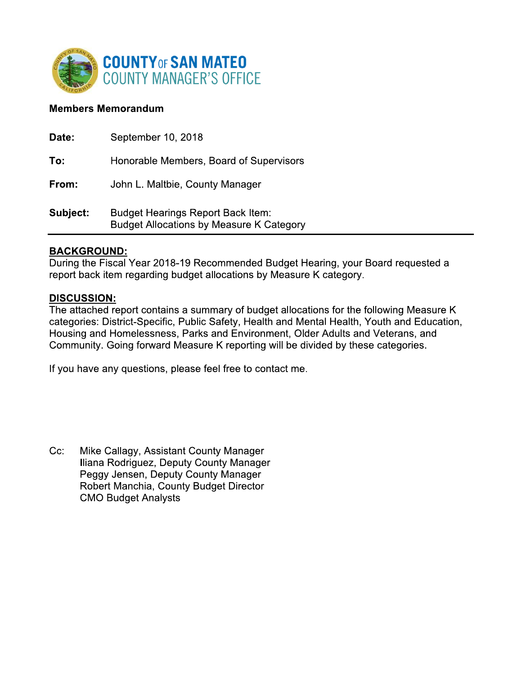

## **Members Memorandum**

| Date:    | September 10, 2018                                                                          |
|----------|---------------------------------------------------------------------------------------------|
| To:      | Honorable Members, Board of Supervisors                                                     |
| From:    | John L. Maltbie, County Manager                                                             |
| Subject: | <b>Budget Hearings Report Back Item:</b><br><b>Budget Allocations by Measure K Category</b> |

### <u>BACKGROUND:</u>

During the Fiscal Year 2018-19 Recommended Budget Hearing, your Board requested a report back item regarding budget allocations by Measure K category.

### **DISCUSSION:**

The attached report contains a summary of budget allocations for the following Measure K categories: District-Specific, Public Safety, Health and Mental Health, Youth and Education, Housing and Homelessness, Parks and Environment, Older Adults and Veterans, and Community. Going forward Measure K reporting will be divided by these categories.

If you have any questions, please feel free to contact me.

 $Cc$ : Mike Callagy, Assistant County Manager Iliana Rodriguez, Deputy County Manager Peggy Jensen, Deputy County Manager Robert Manchia, County Budget Director **CMO Budget Analysts**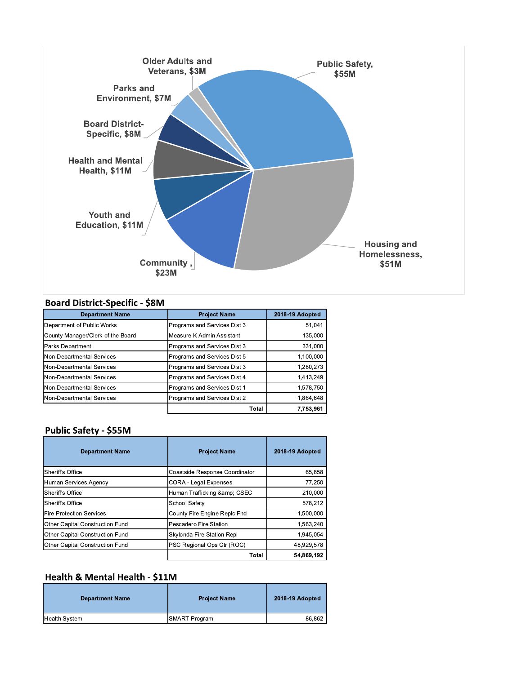

#### **Board District-Specific - \$8M**

| <b>Department Name</b>            | <b>Project Name</b>          | 2018-19 Adopted |
|-----------------------------------|------------------------------|-----------------|
| Department of Public Works        | Programs and Services Dist 3 | 51,041          |
| County Manager/Clerk of the Board | Measure K Admin Assistant    | 135,000         |
| Parks Department                  | Programs and Services Dist 3 | 331,000         |
| Non-Departmental Services         | Programs and Services Dist 5 | 1.100.000       |
| Non-Departmental Services         | Programs and Services Dist 3 | 1.280.273       |
| Non-Departmental Services         | Programs and Services Dist 4 | 1,413,249       |
| Non-Departmental Services         | Programs and Services Dist 1 | 1.578.750       |
| Non-Departmental Services         | Programs and Services Dist 2 | 1,864,648       |
|                                   | Total                        | 7,753,961       |

#### Public Safety - \$55M

| <b>Department Name</b>          | <b>Project Name</b>            | 2018-19 Adopted |
|---------------------------------|--------------------------------|-----------------|
| Sheriff's Office                | Coastside Response Coordinator | 65.858          |
| Human Services Agency           | <b>CORA - Legal Expenses</b>   | 77,250          |
| Sheriff's Office                | Human Trafficking & CSEC       | 210,000         |
| Sheriff's Office                | School Safety                  | 578,212         |
| <b>Fire Protection Services</b> | County Fire Engine Replc Fnd   | 1,500,000       |
| Other Capital Construction Fund | Pescadero Fire Station         | 1,563,240       |
| Other Capital Construction Fund | Skylonda Fire Station Repl     | 1.945.054       |
| Other Capital Construction Fund | PSC Regional Ops Ctr (ROC)     | 48,929,578      |
|                                 | Total                          | 54.869.192      |

## Health & Mental Health - \$11M

| <b>Department Name</b> | <b>Project Name</b> | 2018-19 Adopted |
|------------------------|---------------------|-----------------|
| <b>Health System</b>   | SMART Program       | 86.862          |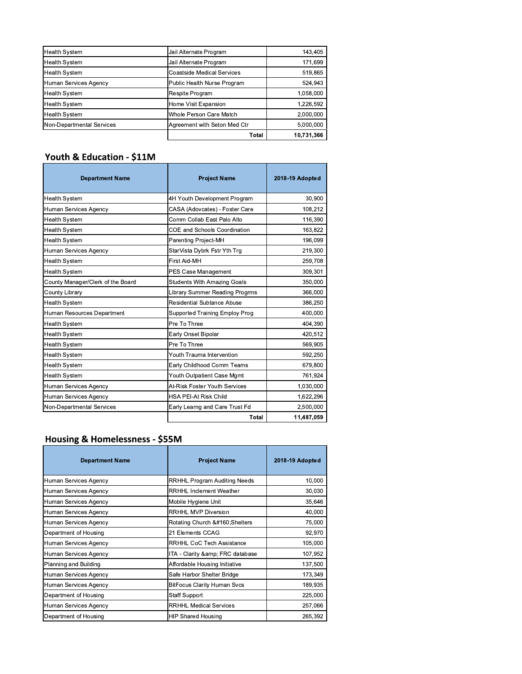|                           | Total                             | 10.731.366 |
|---------------------------|-----------------------------------|------------|
| Non-Departmental Services | Agreement with Seton Med Ctr      | 5.000.000  |
| <b>Health System</b>      | Whole Person Care Match           | 2,000,000  |
| <b>Health System</b>      | Home Visit Expansion              | 1,226,592  |
| <b>Health System</b>      | Respite Program                   | 1,058,000  |
| Human Services Agency     | Public Health Nurse Program       | 524,943    |
| <b>Health System</b>      | <b>Coastside Medical Services</b> | 519,865    |
| <b>Health System</b>      | Jail Alternate Program            | 171,699    |
| <b>Health System</b>      | Jail Alternate Program            | 143,405    |

## Youth & Education - \$11M

| <b>Department Name</b>            | <b>Project Name</b>                   | 2018-19 Adopted |
|-----------------------------------|---------------------------------------|-----------------|
| <b>Health System</b>              | 4H Youth Development Program          | 30,900          |
| Human Services Agency             | CASA (Adovcates) - Foster Care        | 108,212         |
| <b>Health System</b>              | Comm Collab East Palo Alto            | 116,390         |
| <b>Health System</b>              | COE and Schools Coordination          | 163,822         |
| <b>Health System</b>              | Parenting Project-MH                  | 196,099         |
| Human Services Agency             | StarVista Dybrk Fstr Yth Trg          | 219,300         |
| <b>Health System</b>              | First Aid-MH                          | 259,708         |
| <b>Health System</b>              | PES Case Management                   | 309,301         |
| County Manager/Clerk of the Board | <b>Students With Amazing Goals</b>    | 350,000         |
| County Library                    | <b>Library Summer Reading Progrms</b> | 366,000         |
| <b>Health System</b>              | <b>Residential Subtance Abuse</b>     | 386,250         |
| Human Resources Department        | Supported Training Employ Prog        | 400,000         |
| <b>Health System</b>              | Pre To Three                          | 404,390         |
| <b>Health System</b>              | Early Onset Bipolar                   | 420,512         |
| <b>Health System</b>              | Pre To Three                          | 569,905         |
| <b>Health System</b>              | Youth Trauma Intervention             | 592,250         |
| <b>Health System</b>              | Early Childhood Comm Teams            | 679,800         |
| <b>Health System</b>              | Youth Outpatient Case Mgmt            | 761,924         |
| Human Services Agency             | At-Risk Foster Youth Services         | 1,030,000       |
| Human Services Agency             | <b>HSA PEI-At Risk Child</b>          | 1,622,296       |
| Non-Departmental Services         | Early Learng and Care Trust Fd        | 2,500,000       |
|                                   | Total                                 | 11.487.059      |

# **Housing & Homelessness - \$55M**

| <b>Department Name</b> | <b>Project Name</b>                 | 2018-19 Adopted |
|------------------------|-------------------------------------|-----------------|
| Human Services Agency  | <b>RRHHL Program Auditing Needs</b> | 10,000          |
| Human Services Agency  | <b>RRHHL Inclement Weather</b>      | 30,030          |
| Human Services Agency  | Mobile Hygiene Unit                 | 35,646          |
| Human Services Agency  | <b>RRHHL MVP Diversion</b>          | 40,000          |
| Human Services Agency  | Rotating Church  Shelters           | 75,000          |
| Department of Housing  | 21 Elements CCAG                    | 92.970          |
| Human Services Agency  | <b>RRHHL CoC Tech Assistance</b>    | 105,000         |
| Human Services Agency  | ITA - Clarity & FRC database        | 107,952         |
| Planning and Building  | Affordable Housing Initiative       | 137,500         |
| Human Services Agency  | Safe Harbor Shelter Bridge          | 173,349         |
| Human Services Agency  | <b>BitFocus Clarity Human Svcs</b>  | 189,935         |
| Department of Housing  | <b>Staff Support</b>                | 225,000         |
| Human Services Agency  | <b>RRHHL Medical Services</b>       | 257,066         |
| Department of Housing  | <b>HIP Shared Housing</b>           | 265,392         |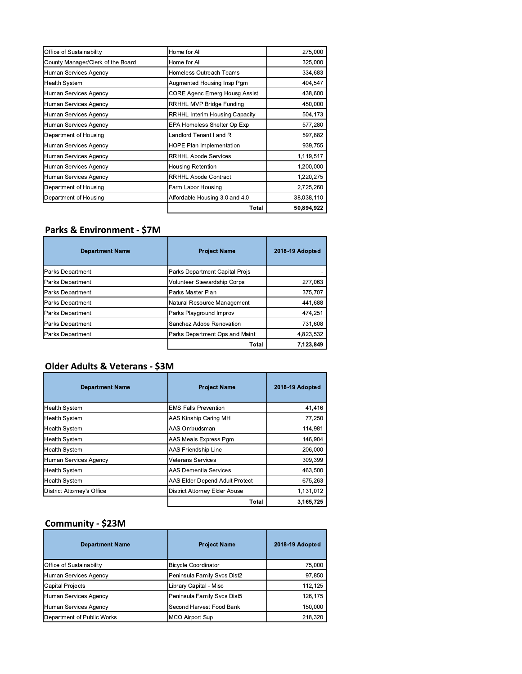| Office of Sustainability          | Home for All                          | 275,000    |
|-----------------------------------|---------------------------------------|------------|
| County Manager/Clerk of the Board | Home for All                          | 325,000    |
| Human Services Agency             | Homeless Outreach Teams               | 334,683    |
| <b>Health System</b>              | Augmented Housing Insp Pgm            | 404,547    |
| Human Services Agency             | CORE Agenc Emerg Housg Assist         | 438,600    |
| Human Services Agency             | RRHHL MVP Bridge Funding              | 450,000    |
| Human Services Agency             | <b>RRHHL Interim Housing Capacity</b> | 504,173    |
| Human Services Agency             | EPA Homeless Shelter Op Exp           | 577,280    |
| Department of Housing             | Landlord Tenant I and R               | 597,882    |
| Human Services Agency             | <b>HOPE Plan Implementation</b>       | 939,755    |
| Human Services Agency             | <b>RRHHL Abode Services</b>           | 1,119,517  |
| Human Services Agency             | Housing Retention                     | 1,200,000  |
| Human Services Agency             | <b>RRHHL Abode Contract</b>           | 1,220,275  |
| Department of Housing             | Farm Labor Housing                    | 2,725,260  |
| Department of Housing             | Affordable Housing 3.0 and 4.0        | 38,038,110 |
|                                   | Total                                 | 50,894,922 |

## Parks & Environment - \$7M

| <b>Department Name</b>  | <b>Project Name</b>            | 2018-19 Adopted |
|-------------------------|--------------------------------|-----------------|
| <b>Parks Department</b> | Parks Department Capital Projs |                 |
| <b>Parks Department</b> | Volunteer Stewardship Corps    | 277,063         |
| <b>Parks Department</b> | Parks Master Plan              | 375.707         |
| <b>Parks Department</b> | Natural Resource Management    | 441,688         |
| <b>Parks Department</b> | Parks Playground Improv        | 474,251         |
| <b>Parks Department</b> | Sanchez Adobe Renovation       | 731.608         |
| <b>Parks Department</b> | Parks Department Ops and Maint | 4.823,532       |
|                         | Total                          | 7,123,849       |

## Older Adults & Veterans - \$3M

| <b>Department Name</b>     | <b>Project Name</b>            | 2018-19 Adopted |
|----------------------------|--------------------------------|-----------------|
| <b>Health System</b>       | <b>EMS Falls Prevention</b>    | 41,416          |
| <b>Health System</b>       | AAS Kinship Caring MH          | 77,250          |
| <b>Health System</b>       | AAS Ombudsman                  | 114,981         |
| <b>Health System</b>       | AAS Meals Express Pgm          | 146.904         |
| <b>Health System</b>       | AAS Friendship Line            | 206,000         |
| Human Services Agency      | Veterans Services              | 309,399         |
| <b>Health System</b>       | <b>AAS Dementia Services</b>   | 463,500         |
| <b>Health System</b>       | AAS Elder Depend Adult Protect | 675,263         |
| District Attorney's Office | District Attorney Elder Abuse  | 1,131,012       |
|                            | Total                          | 3.165.725       |

## Community - \$23M

| <b>Department Name</b>     | <b>Project Name</b>         | 2018-19 Adopted |
|----------------------------|-----------------------------|-----------------|
| Office of Sustainability   | <b>Bicycle Coordinator</b>  | 75,000          |
| Human Services Agency      | Peninsula Family Svcs Dist2 | 97,850          |
| <b>Capital Projects</b>    | Library Capital - Misc      | 112.125         |
| Human Services Agency      | Peninsula Family Svcs Dist5 | 126,175         |
| Human Services Agency      | Second Harvest Food Bank    | 150.000         |
| Department of Public Works | MCO Airport Sup             | 218,320         |